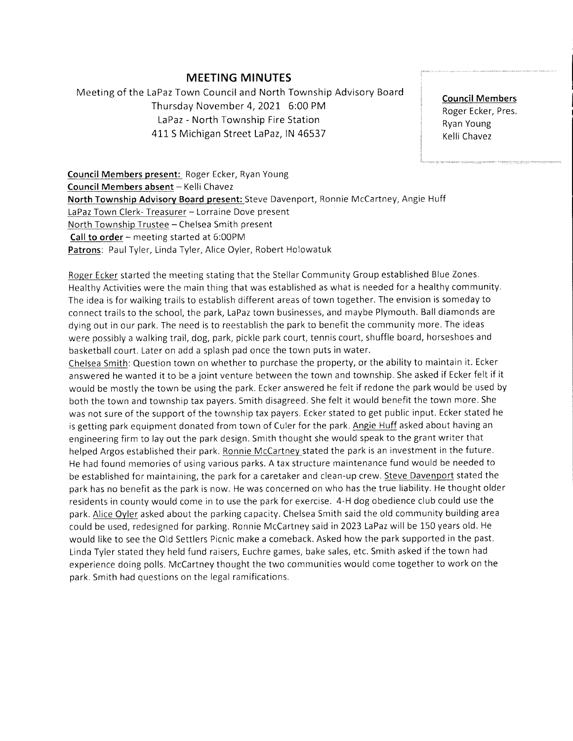## MEETING MINUTES

Meeting of the LaPaz Town Council and North Township Advisory Board Thursday November 4,2021. 6:00 PM LaPaz - North Township Fire Station 411 S Michigan Street LaPaz, IN 46537

Council Members Roger Ecker, Pres. Ryan Young Kelli Chavez

Council Members present: Roger Ecker, Ryan Young Council Members absent - Kelli Chavez North Township Advisory Board present: Steve Davenport, Ronnie McCartney, Angie Huff LaPaz Town Clerk- Treasurer - Lorraine Dove present North Township Trustee - Chelsea Smith present Call to order - meeting started at 6:00PM Patrons: Paul Tyler, Linda Tyler, Alice Oyler, Robert Holowatuk

Roger Ecker started the meeting stating that the Stellar Community Group established Blue Zones. Healthy Activities were the main thing that was established as what is needed for a healthy community. The idea is for walking trails to establish different areas of town together. The envision is someday to connect trails to the school, the park, LaPaz town businesses, and maybe Plymouth. Ball diamonds are dying out in our park. The need is to reestablish the park to benefit the community more. The ideas were possibly a walking trail, dog, park, pickle park court, tennis court, shuffle board, horseshoes and basketball court. Later on add a splash pad once the town puts in water.

Chelsea Smith: Question town on whether to purchase the property, or the ability to maintain it. Ecker answered he wanted it to be a joint venture between the town and township. She asked if Ecker felt if it would be mostly the town be using the park. Ecker answered he felt if redone the park would be used by both the town and township tax payers. Smith disagreed. She felt it would benefit the town more. She was not sure of the support of the township tax payers. Ecker stated to get public input. Ecker stated he is getting park equipment donated from town of Culer for the park. Angie Huff asked about having an engineering firm to lay out the park design. Smith thought she would speak to the grant writer that helped Argos established their park. Ronnie McCartney stated the park is an investment in the future. He had found memories of using various parks. A tax structure maintenance fund would be needed to be established for maintaining, the park for a caretaker and clean-up crew. Steve Davenport stated the park has no benefit as the park is now. He was concerned on who has the true liability. He thought older residents in county would come in to use the park for exercise. 4-H dog obedience club could use the park. Alice Oyler asked about the parking capacity. Chelsea Smith said the old community building area could be used, redesigned for parking. Ronnie McCartney said in 2023LaPaz will be 150years old. He would like to see the Old Settlers Picnic make a comeback. Asked how the park supported in the past. Linda Tyler stated they held fund raisers, Euchre games, bake sales, etc. Smith asked if the town had experience doing polls. McCartney thought the two communities would come together to work on the park. Smith had questions on the legal ramifications.